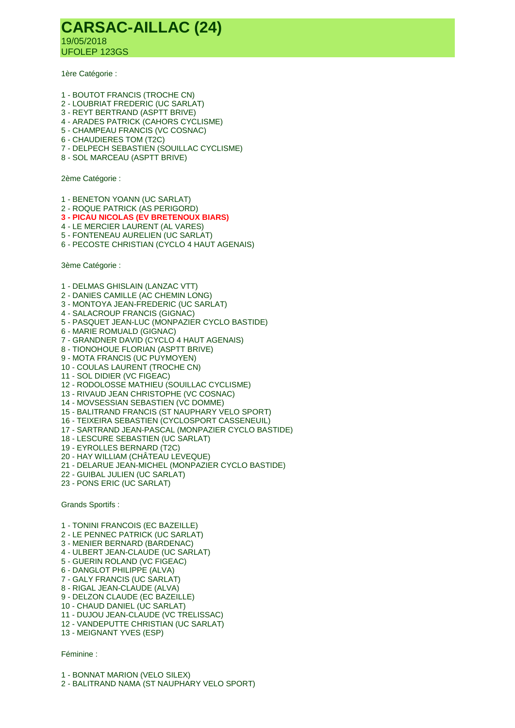## **CARSAC-AILLAC (24)** 19/05/2018 UFOLEP 123GS

1ère Catégorie :

- 1 BOUTOT FRANCIS (TROCHE CN)
- 2 LOUBRIAT FREDERIC (UC SARLAT)
- 3 REYT BERTRAND (ASPTT BRIVE)
- 4 ARADES PATRICK (CAHORS CYCLISME)
- 5 CHAMPEAU FRANCIS (VC COSNAC)
- 6 CHAUDIERES TOM (T2C)
- 7 DELPECH SEBASTIEN (SOUILLAC CYCLISME)
- 8 SOL MARCEAU (ASPTT BRIVE)

2ème Catégorie :

- 1 BENETON YOANN (UC SARLAT)
- 2 ROQUE PATRICK (AS PERIGORD)
- **3 - PICAU NICOLAS (EV BRETENOUX BIARS)**
- 4 LE MERCIER LAURENT (AL VARES)
- 5 FONTENEAU AURELIEN (UC SARLAT)
- 6 PECOSTE CHRISTIAN (CYCLO 4 HAUT AGENAIS)

3ème Catégorie :

- 1 DELMAS GHISLAIN (LANZAC VTT)
- 2 DANIES CAMILLE (AC CHEMIN LONG)
- 3 MONTOYA JEAN-FREDERIC (UC SARLAT)
- 4 SALACROUP FRANCIS (GIGNAC)
- 5 PASQUET JEAN-LUC (MONPAZIER CYCLO BASTIDE)
- 6 MARIE ROMUALD (GIGNAC)
- 7 GRANDNER DAVID (CYCLO 4 HAUT AGENAIS)
- 8 TIONOHOUE FLORIAN (ASPTT BRIVE)
- 9 MOTA FRANCIS (UC PUYMOYEN)
- 10 COULAS LAURENT (TROCHE CN)
- 11 SOL DIDIER (VC FIGEAC)
- 12 RODOLOSSE MATHIEU (SOUILLAC CYCLISME)
- 13 RIVAUD JEAN CHRISTOPHE (VC COSNAC)
- 14 MOVSESSIAN SEBASTIEN (VC DOMME)
- 15 BALITRAND FRANCIS (ST NAUPHARY VELO SPORT)
- 16 TEIXEIRA SEBASTIEN (CYCLOSPORT CASSENEUIL)
- 17 SARTRAND JEAN-PASCAL (MONPAZIER CYCLO BASTIDE)
- 18 LESCURE SEBASTIEN (UC SARLAT)
- 19 EYROLLES BERNARD (T2C)
- 20 HAY WILLIAM (CHÂTEAU LEVEQUE)
- 21 DELARUE JEAN-MICHEL (MONPAZIER CYCLO BASTIDE)
- 22 GUIBAL JULIEN (UC SARLAT)
- 23 PONS ERIC (UC SARLAT)

Grands Sportifs :

- 1 TONINI FRANCOIS (EC BAZEILLE)
- 2 LE PENNEC PATRICK (UC SARLAT)
- 3 MENIER BERNARD (BARDENAC)
- 4 ULBERT JEAN-CLAUDE (UC SARLAT)
- 5 GUERIN ROLAND (VC FIGEAC)
- 6 DANGLOT PHILIPPE (ALVA)
- 7 GALY FRANCIS (UC SARLAT)
- 8 RIGAL JEAN-CLAUDE (ALVA)
- 9 DELZON CLAUDE (EC BAZEILLE)
- 10 CHAUD DANIEL (UC SARLAT)
- 11 DUJOU JEAN-CLAUDE (VC TRELISSAC)
- 12 VANDEPUTTE CHRISTIAN (UC SARLAT)
- 13 MEIGNANT YVES (ESP)

Féminine :

- 1 BONNAT MARION (VELO SILEX)
- 2 BALITRAND NAMA (ST NAUPHARY VELO SPORT)